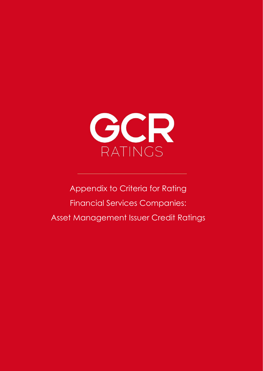

Appendix to Criteria for Rating Financial Services Companies: Asset Management Issuer Credit Ratings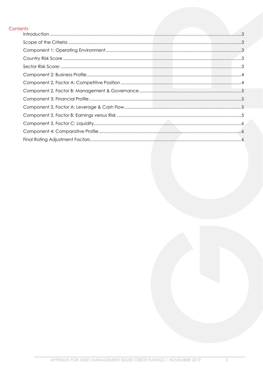#### Contents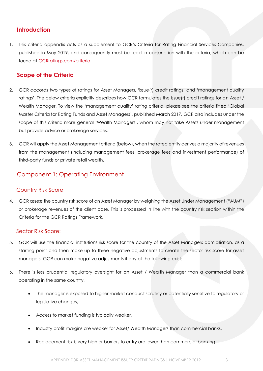# <span id="page-2-0"></span>**Introduction**

1. This criteria appendix acts as a supplement to GCR's Criteria for Rating Financial Services Companies, published in May 2019, and consequently must be read in conjunction with the criteria, which can be found at [GCRratings.com/criteria.](http://www.gcrratings.com/criteria)

## <span id="page-2-1"></span>**Scope of the Criteria**

- 2. GCR accords two types of ratings for Asset Managers, 'issue(r) credit ratings' and 'management quality ratings'. The below criteria explicitly describes how GCR formulates the issue(r) credit ratings for an Asset / Wealth Manager. To view the 'management quality' rating criteria, please see the criteria titled 'Global Master Criteria for Rating Funds and Asset Managers', published March 2017. GCR also includes under the scope of this criteria more general 'Wealth Managers', whom may not take Assets under management but provide advice or brokerage services.
- 3. GCR will apply the Asset Management criteria (below), when the rated entity derives a majority of revenues from the management (including management fees, brokerage fees and investment performance) of third-party funds or private retail wealth.

# <span id="page-2-2"></span>Component 1: Operating Environment

## <span id="page-2-3"></span>Country Risk Score

4. GCR assess the country risk score of an Asset Manager by weighing the Asset Under Management ("AUM") or brokerage revenues of the client base. This is processed in line with the country risk section within the Criteria for the GCR Ratings Framework.

## <span id="page-2-4"></span>Sector Risk Score:

- 5. GCR will use the financial institutions risk score for the country of the Asset Managers domiciliation, as a starting point and then make up to three negative adjustments to create the sector risk score for asset managers. GCR can make negative adjustments if any of the following exist:
- 6. There is less prudential regulatory oversight for an Asset / Wealth Manager than a commercial bank operating in the same country,
	- The manager is exposed to higher market conduct scrutiny or potentially sensitive to regulatory or legislative changes,
	- Access to market funding is typically weaker,
	- Industry profit margins are weaker for Asset/ Wealth Managers than commercial banks,
	- Replacement risk is very high or barriers to entry are lower than commercial banking.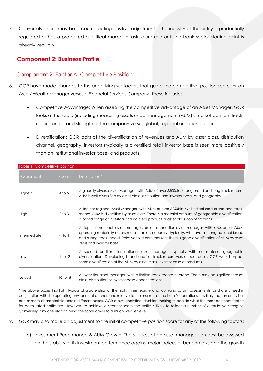7. Conversely, there may be a counteracting positive adjustment if the industry of the entity is prudentially regulated or has a protected or critical market infrastructure role or if the bank sector starting point is already very low.

# <span id="page-3-0"></span>**Component 2: Business Profile**

## <span id="page-3-1"></span>Component 2, Factor A: Competitive Position

- 8. GCR have made changes to the underlying subfactors that guide the competitive position score for an Asset/ Wealth Manager versus a Financial Services Company. These include:
	- Competitive Advantage: When assessing the competitive advantage of an Asset Manager, GCR looks at the scale (including measuring assets under management (AUM)), market position, trackrecord and brand strength of the company versus global, regional or national peers.
	- Diversification: GCR looks at the diversification of revenues and AUM by asset class, distribution channel, geography, investors (typically a diversified retail investor base is seen more positively than an institutional investor base) and products.

| Table 1: Competitive position |               |                                                                                                                                                                                                                                                                                                                                |
|-------------------------------|---------------|--------------------------------------------------------------------------------------------------------------------------------------------------------------------------------------------------------------------------------------------------------------------------------------------------------------------------------|
| Assessment                    | Score         | Description*                                                                                                                                                                                                                                                                                                                   |
| Highest                       | $4$ to 5      | A globally diverse Asset Manager, with AUM of over \$500bln, strong brand and long track-record.<br>AUM is well-diversified by asset class, distribution and investor base, and geography.                                                                                                                                     |
| High                          | $2$ to $3$    | A top tier regional Asset Manager, with AUM of over \$250bln, well-established brand and track-<br>record. AUM is diversified by asset class. There is a material amount of geographic diversification,<br>a broad range of investors and no clear product or asset class concentrations.                                      |
| Intermediate                  | $-1$ to $1$   | A top tier national asset manager, or a second-tier asset manager with substantial AUM,<br>operating materially across more than one country. Typically, will have a strong national brand<br>and a long track-record. Relative to its core markets, there is good diversification of AUM by asset<br>class and investor base. |
| Low                           | $-4$ to $-2$  | A second or third tier national asset manager, typically with no material geographic<br>diversification. Developing brand and/ or track-record versus local peers. GCR would expect<br>some diversification of the AUM by asset class, investor base or products.                                                              |
| Lowest                        | $-10$ to $-5$ | A lower tier asset manager, with a limited track-record or brand. There may be significant asset<br>class, distribution or investor base concentrations.                                                                                                                                                                       |

\*The above boxes highlight typical characteristics of the high, intermediate and low (and so on) assessments, and are utilised in conjunction with the operating environment anchor, and relative to the markets of the issuer's operations. It is likely that an entity has one or more characteristic across different boxes. GCR allows analytical decision making to decide what the most pertinent factors for each rated entity are. However, to achieve a stronger score the entity is likely to relfect a number of cumulative strengths. Conversely, any one risk can bring the score down to a much weaker level.

- 9. GCR may also make an adjustment to the initial competitive position score for any of the following factors:
	- a) Investment Performance & AUM Growth: The success of an asset manager can best be assessed on the stability of its investment performance against major indices or benchmarks and the growth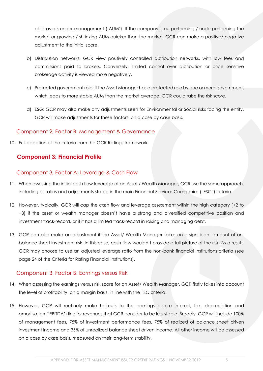of its assets under management ('AUM'). If the company is outperforming / underperforming the market or growing / shrinking AUM quicker than the market, GCR can make a positive/ negative adjustment to the initial score.

- b) Distribution networks: GCR view positively controlled distribution networks, with low fees and commissions paid to brokers. Conversely, limited control over distribution or price sensitive brokerage activity is viewed more negatively.
- c) Protected government role: If the Asset Manager has a protected role by one or more government, which leads to more stable AUM than the market average, GCR could raise the risk score.
- d) ESG: GCR may also make any adjustments seen for Environmental or Social risks facing the entity. GCR will make adjustments for these factors, on a case by case basis.

## <span id="page-4-0"></span>Component 2, Factor B: Management & Governance

10. Full adoption of the criteria from the GCR Ratings framework.

# <span id="page-4-1"></span>**Component 3: Financial Profile**

#### <span id="page-4-2"></span>Component 3, Factor A: Leverage & Cash Flow

- 11. When assessing the initial cash flow leverage of an Asset / Wealth Manager, GCR use the same approach, including all ratios and adjustments stated in the main Financial Services Companies ("FSC") criteria.
- 12. However, typically, GCR will cap the cash flow and leverage assessment within the high category (+2 to +3) if the asset or wealth manager doesn't have a strong and diversified competitive position and investment track-record, or if it has a limited track-record in raising and managing debt.
- 13. GCR can also make an adjustment if the Asset/ Wealth Manager takes on a significant amount of onbalance sheet investment risk. In this case, cash flow wouldn't provide a full picture of the risk. As a result, GCR may choose to use an adjusted leverage ratio from the non-bank financial institutions criteria (see page 24 of the Criteria for Rating Financial Institutions).

#### <span id="page-4-3"></span>Component 3, Factor B: Earnings versus Risk

- 14. When assessing the earnings versus risk score for an Asset/ Wealth Manager, GCR firstly takes into account the level of profitability, on a margin basis, in line with the FSC criteria.
- 15. However, GCR will routinely make haircuts to the earnings before interest, tax, depreciation and amortisation ('EBITDA') line for revenues that GCR consider to be less stable. Broadly, GCR will include 100% of management fees, 75% of investment performance fees, 75% of realized of balance sheet driven investment income and 35% of unrealized balance sheet driven income. All other income will be assessed on a case by case basis, measured on their long-term stability.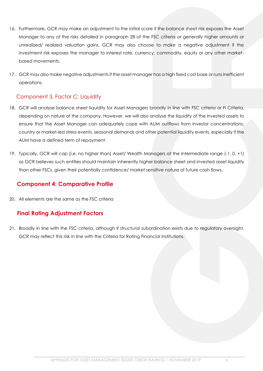- 16. Furthermore, GCR may make an adjustment to the initial score if the balance sheet risk exposes the Asset Manager to any of the risks detailed in paragraph 28 of the FSC criteria or generally higher amounts or unrealized/ realized valuation gains. GCR may also choose to make a negative adjustment if the investment risk exposes the manager to interest rate, currency, commodity, equity or any other marketbased movements.
- 17. GCR may also make negative adjustments if the asset manager has a high fixed cost base or runs inefficient operations.

# <span id="page-5-0"></span>Component 3, Factor C: Liquidity

- 18. GCR will analyse balance sheet liquidity for Asset Managers broadly in line with FSC criteria or FI Criteria, depending on nature of the company. However, we will also analyse the liquidity of the invested assets to ensure that the Asset Manager can adequately cope with AUM outflows from investor concentrations, country or market-led stress events, seasonal demands and other potential liquidity events, especially if the AUM have a defined term of repayment.
- 19. Typically, GCR will cap (i.e. no higher than) Asset/ Wealth Managers at the intermediate range (-1, 0, +1) as GCR believes such entities should maintain inherently higher balance sheet and invested asset liquidity than other FSCs, given their potentially confidence/ market sensitive nature of future cash flows.

# <span id="page-5-1"></span>**Component 4: Comparative Profile**

20. All elements are the same as the FSC criteria

# <span id="page-5-2"></span>**Final Rating Adjustment Factors**

21. Broadly in line with the FSC criteria, although if structural subordination exists due to regulatory oversight, GCR may reflect this risk in line with the Criteria for Rating Financial Institutions.